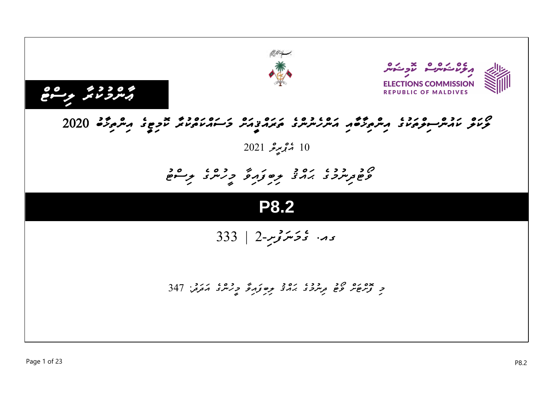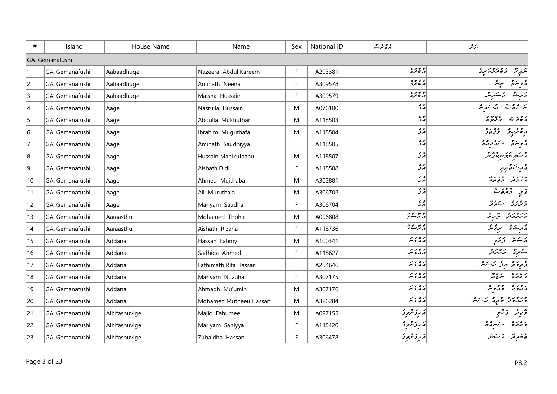| #              | Island          | House Name    | Name                   | Sex       | National ID | ېره پر شه                     | بىر ھ                                                                                                                                                                                                                            |
|----------------|-----------------|---------------|------------------------|-----------|-------------|-------------------------------|----------------------------------------------------------------------------------------------------------------------------------------------------------------------------------------------------------------------------------|
|                | GA. Gemanafushi |               |                        |           |             |                               |                                                                                                                                                                                                                                  |
|                | GA. Gemanafushi | Aabaadhuge    | Nazeera Abdul Kareem   | F         | A293381     | ۶ و د ۲<br>درگانور            | ستني بره ده در حديد به در حديد به در حديد به در حديد در حديد در حديد به در حديد به دست به دست به دست به دست به<br>استغير شده به دست به دست به دست به دست به دست به دست به دست به دست به دست به دست به دست به دست به دست به دست ب |
| $\overline{c}$ | GA. Gemanafushi | Aabaadhuge    | Aminath Neena          | F.        | A309578     | ۶ پر و ء<br>درگاه تور         | و سرچ سرچينې<br>مرسمو                                                                                                                                                                                                            |
| $\overline{3}$ | GA. Gemanafushi | Aabaadhuge    | Maisha Hussain         | F.        | A309579     | پر پر و ۽<br>پر گھڻوري        | قەرشە ئەسىمەش                                                                                                                                                                                                                    |
| $\overline{4}$ | GA. Gemanafushi | Aage          | Nasrulla Hussain       | M         | A076100     | پوء<br>مر                     | يره والله بركرمر                                                                                                                                                                                                                 |
| 5              | GA. Gemanafushi | Aage          | Abdulla Mukhuthar      | M         | A118503     | پو ء<br>مر                    | ەھىراللە<br>ح وه څو تر<br>حرنره ت <b>ر</b>                                                                                                                                                                                       |
| $\sqrt{6}$     | GA. Gemanafushi | Aage          | Ibrahim Muguthafa      | M         | A118504     | پر<br>مر                      | دەنزىر دەرر                                                                                                                                                                                                                      |
| $\overline{7}$ | GA. Gemanafushi | Aage          | Aminath Saudhiyya      | F         | A118505     | پر<br>مر                      | ה כיתב בית הב                                                                                                                                                                                                                    |
| 8              | GA. Gemanafushi | Aage          | Hussain Manikufaanu    | M         | A118507     | پر ج<br>مرگ                   | 2 سەر بىرى بىر <i>بىر قە</i> ر                                                                                                                                                                                                   |
| 9              | GA. Gemanafushi | Aage          | Aishath Didi           | F         | A118508     | پر ج<br>مرگ                   | د د ځوکوبور<br>د کر                                                                                                                                                                                                              |
| 10             | GA. Gemanafushi | Aage          | Ahmed Mujthaba         | M         | A302881     | پر<br>مر                      | ره رو وه ره<br>درگر د وج                                                                                                                                                                                                         |
| 11             | GA. Gemanafushi | Aage          | Ali Muruthala          | M         | A306702     | پوء<br>مر                     | أأرمح ومرتج                                                                                                                                                                                                                      |
| 12             | GA. Gemanafushi | Aage          | Mariyam Saudha         | F         | A306704     | پو ء<br>مر                    | تر و بر و<br>سە پەرتىر                                                                                                                                                                                                           |
| 13             | GA. Gemanafushi | Aaraasthu     | Mohamed Thohir         | M         | A096808     | ۇ ئۆر 2 ج                     | وره د و د                                                                                                                                                                                                                        |
| 14             | GA. Gemanafushi | Aaraasthu     | Aishath Rizana         | F         | A118736     | ېر پېژگ ده چ                  | ە بەيسىدە بىرىنى ئىگە<br>مەسىسىدە بىرىنى ئىگە                                                                                                                                                                                    |
| 15             | GA. Gemanafushi | Addana        | Hassan Fahmy           | M         | A100341     | ىرە بە<br>مەمرى ئىر           | ير سكاندار الوكر توريخ                                                                                                                                                                                                           |
| 16             | GA. Gemanafushi | Addana        | Sadhiga Ahmed          | F         | A118627     | ىرە بە<br>مەمرى ئىر           | جوريج كالمائرة                                                                                                                                                                                                                   |
| 17             | GA. Gemanafushi | Addana        | Fathimath Rifa Hassan  | F         | A254646     | ىرە بە<br>مەمكەنتىر           | ۋە ئەق برۇ ئەسكىر                                                                                                                                                                                                                |
| 18             | GA. Gemanafushi | Addana        | Mariyam Nuzuha         | F         | A307175     | ىرە بە<br>مەمكەنتىر           | נים נים הפיי<br>המחבר ייתואי                                                                                                                                                                                                     |
| 19             | GA. Gemanafushi | Addana        | Ahmadh Mu'umin         | M         | A307176     | بره بر<br>مرد <u>با</u>       | גפנים כבבית                                                                                                                                                                                                                      |
| 20             | GA. Gemanafushi | Addana        | Mohamed Mutheeu Hassan | ${\sf M}$ | A326284     | پره بر                        | وره رو و و ر ره<br>د برمانه د په برگس                                                                                                                                                                                            |
| 21             | GA. Gemanafushi | Alhifashuvige | Majid Fahumee          | M         | A097155     | ر<br>مرتز تر <sub>حر</sub> بح | دَّەمِدْ كَرَرْحٍ                                                                                                                                                                                                                |
| 22             | GA. Gemanafushi | Alhifashuvige | Mariyam Saniyya        | F         | A118420     | ر<br>مرتز تر <sub>حر</sub> بح | במתכ הייתות                                                                                                                                                                                                                      |
| 23             | GA. Gemanafushi | Alhifashuvige | Zubaidha Hassan        | F         | A306478     | <br>  مرکز تر <sub>جر</sub> ی | المقصر محر بما يكسكر                                                                                                                                                                                                             |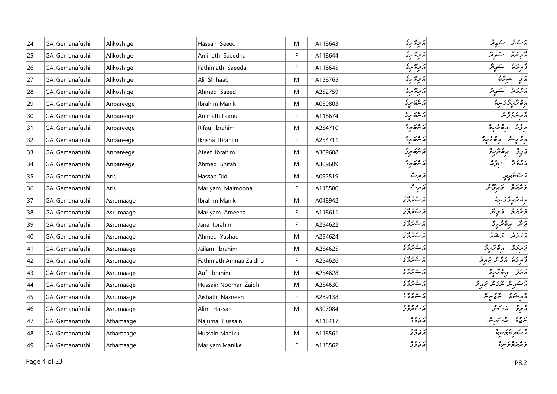| 24 | GA. Gemanafushi | Alikoshige | Hassan Saeed           | M  | A118643 | أروبيوري                            | ير سكور مسكور مركز                    |
|----|-----------------|------------|------------------------|----|---------|-------------------------------------|---------------------------------------|
| 25 | GA. Gemanafushi | Alikoshige | Aminath Saeedha        | F. | A118644 | بر په پرځ<br>مرس                    | أأروسهم<br>سە پە تىر                  |
| 26 | GA. Gemanafushi | Alikoshige | Fathimath Saeeda       | F. | A118645 | أروبيوري                            | ا تو بر در<br>ا<br>سكورقر             |
| 27 | GA. Gemanafushi | Alikoshige | Ali Shihaab            | M  | A158765 | ېز په مورځ<br>مرغ مړي               | ړې شرگو                               |
| 28 | GA. Gemanafushi | Alikoshige | Ahmed Saeed            | M  | A252759 | لرمونتوره                           | پرەرو سەرە                            |
| 29 | GA. Gemanafushi | Anbareege  | Ibrahim Manik          | M  | A059803 | ر ه پر پر<br>د سرچاسپری             | ە ھەمگە 25 كىيەر 2<br>م               |
| 30 | GA. Gemanafushi | Anbareege  | Aminath Faanu          | F  | A118674 | بر هو پر پر<br>مرگه سمجری           | ا محر سر و محر شر<br>المحر سر محر شر  |
| 31 | GA. Gemanafushi | Anbareege  | Rifau Ibrahim          | M  | A254710 | ر ه د پر <sup>ج</sup><br>د سرچ سر د | برزه مەمگرى                           |
| 32 | GA. Gemanafushi | Anbareege  | Ikrisha Ibrahim        | F  | A254711 | تەشھەمرى                            | ەر ئەمىرىشە<br>س<br>دە ئەرد           |
| 33 | GA. Gemanafushi | Anbareege  | Afeef Ibrahim          | M  | A309608 | بر ه پر پر <sup>ج</sup>             |                                       |
| 34 | GA. Gemanafushi | Anbareege  | Ahmed Shifah           | M  | A309609 | رَ عرْهَ مِرِ دَ                    | دەرد<br>ے وگر بر                      |
| 35 | GA. Gemanafushi | Aris       | Hassan Didi            | M  | A092519 | اړېږ شه                             | <br> پرسە مىزىدىر                     |
| 36 | GA. Gemanafushi | Aris       | Mariyam Maimoona       | F  | A118580 | رسمنه                               | גם גם בגדיית                          |
| 37 | GA. Gemanafushi | Asrumaage  | Ibrahim Manik          | M  | A048942 | بر ۵ ۶ ۶ ۹<br>مرسوبو <sub>۶</sub>   | ە ھەترىر 2 كەسرىر<br>م                |
| 38 | GA. Gemanafushi | Asrumaage  | Mariyam Ameena         | F  | A118611 | بر ۵ ۶ ۶ و.<br>پرسسوبوری            | د وره د د ش                           |
| 39 | GA. Gemanafushi | Asrumaage  | Jana Ibrahim           | F. | A254622 | رەپرى                               | ي شر مى شرى                           |
| 40 | GA. Gemanafushi | Asrumaage  | Ahmed Yashau           | M  | A254624 | ر ۱۵۶۵ و<br>مرگ مرد د               | رەر دىنىگە                            |
| 41 | GA. Gemanafushi | Asrumaage  | Jailam Ibrahim         | M  | A254625 | ر ۱۵۶۵ و<br>مرگسوری                 | فيربره رەتمرى                         |
| 42 | GA. Gemanafushi | Asrumaage  | Fathimath Amnaa Zaidhu | F. | A254626 | ر ۱۵۶۵ و.<br>مرسوموری               | توجد والملاحظ بمارير                  |
| 43 | GA. Gemanafushi | Asrumaage  | Auf Ibrahim            | M  | A254628 | بر ۱۵۶۵ و.<br>مرگسونوری             | ر و و<br>مرمر تو<br>ەرھەترىر <i>3</i> |
| 44 | GA. Gemanafushi | Asrumaage  | Hussain Nooman Zaidh   | M  | A254630 | ر ۱۵۶۵ و.<br>مرسوموری               | ג אולי מדים האבי                      |
| 45 | GA. Gemanafushi | Asrumaage  | Aishath Nazneen        | F  | A289138 | ر ۱۵۶۵ و.<br>مرسوموری               | أقهر مشوقه متنتج مبريتر               |
| 46 | GA. Gemanafushi | Asrumaage  | Alim Hassan            | M  | A307084 | ر ۱۵۶۵<br>در سوپر <del>و</del> د    | ړ دی پر د ک                           |
| 47 | GA. Gemanafushi | Athamaage  | Najuma Hussain         | F  | A118417 | ر ر د »<br>پره <del>ر</del> د       | بتروح بركشهر مكر                      |
| 48 | GA. Gemanafushi | Athamaage  | Hussain Maniku         | M  | A118561 | ر ر د »<br>د ه د د                  | جر سے مریکر شریع                      |
| 49 | GA. Gemanafushi | Athamaage  | Mariyam Manike         | F  | A118562 | د ر ه ،<br>  په پور د               | ر ەرەر پر                             |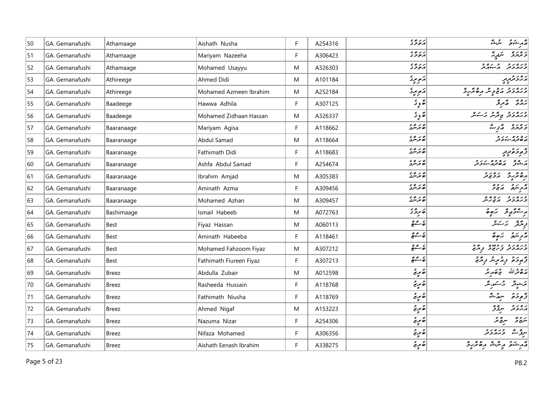| 50 | GA. Gemanafushi | Athamaage    | Aishath Nusha           | F         | A254316 | ر ر د »<br>د ه د د                      | م ديد د مريخه<br>مدير شوه <sub>و</sub> سريخه    |
|----|-----------------|--------------|-------------------------|-----------|---------|-----------------------------------------|-------------------------------------------------|
| 51 | GA. Gemanafushi | Athamaage    | Mariyam Nazeeha         | F         | A306423 | ر ر د »<br>د ه د د                      | دەرە سَنيِدَ                                    |
| 52 | GA. Gemanafushi | Athamaage    | Mohamed Usayyu          | M         | A326303 | ر ر د »<br>د ه د د                      | כנסנכ כנסכ                                      |
| 53 | GA. Gemanafushi | Athireege    | Ahmed Didi              | M         | A101184 | <br>  مرموسور                           | <br>  پرچر ترورور<br>  پرچر تری                 |
| 54 | GA. Gemanafushi | Athireege    | Mohamed Azmeen Ibrahim  | M         | A252184 | ر<br>  د هومبرد                         | כנסגב גם כם תסתיב                               |
| 55 | GA. Gemanafushi | Baadeege     | Hawwa Adhila            | F         | A307125 | $rac{c}{s}$ $\frac{z}{s}$               | رەپ ئەرگ                                        |
| 56 | GA. Gemanafushi | Baadeege     | Mohamed Zidhaan Hassan  | ${\sf M}$ | A326337 | $rac{c}{s}$ $\frac{z}{s}$               | ورەرو بوقرىر ئەسەر                              |
| 57 | GA. Gemanafushi | Baaranaage   | Mariyam Agisa           | F         | A118662 | ه ر و ،<br>ن <i>ه پر</i> س              | رەرە ھۆج                                        |
| 58 | GA. Gemanafushi | Baaranaage   | Abdul Samad             | ${\sf M}$ | A118664 | پر پر پر پر<br>ت <mark>ق</mark> تىرىترى | ر ٥ ۶ و ۵ ر ر ۶<br>پره تر پر ښو <del>ر</del> تر |
| 59 | GA. Gemanafushi | Baaranaage   | Fathimath Didi          | F         | A118683 | پر پر پر پر<br>ت <i>ق</i> سرسری         | توج و څو تو تو په                               |
| 60 | GA. Gemanafushi | Baaranaage   | Ashfa Abdul Samad       | F         | A254674 | پر پر پر پر<br>ت <i>ق</i> سرسری         | ر وه ده ده در د                                 |
| 61 | GA. Gemanafushi | Baaranaage   | Ibrahim Amjad           | ${\sf M}$ | A305383 | پر پر پر<br>ت <i>ق</i> مرس              | קפיציב הכניב                                    |
| 62 | GA. Gemanafushi | Baaranaage   | Aminath Azma            | F         | A309456 | پر پر پر پر<br>ت <i>ق</i> سرسری         | $551 - 31$                                      |
| 63 | GA. Gemanafushi | Baaranaage   | Mohamed Azhan           | ${\sf M}$ | A309457 | پھ بر پر پر<br>ت <i>ھ ہو</i> متر پر     | כנסנכ נספס                                      |
| 64 | GA. Gemanafushi | Bashimaage   | Ismail Habeeb           | ${\sf M}$ | A072763 | ر<br>ت <i>خ</i> مرچری                   | بر شرقه و بره قا                                |
| 65 | GA. Gemanafushi | Best         | Fiyaz Hassan            | ${\sf M}$ | A060113 | ې ده و                                  | پر مرکز کر سکاملر                               |
| 66 | GA. Gemanafushi | Best         | Aminath Habeeba         | F         | A118461 | ې ده<br>پ                               | أأروسكم بماضي                                   |
| 67 | GA. Gemanafushi | Best         | Mohamed Fahzoom Fiyaz   | ${\sf M}$ | A307212 | ەت ۋە                                   | כנסגב גבובם<br>בגהכת צגוזב צַח.ז                |
| 68 | GA. Gemanafushi | Best         | Fathimath Fiureen Fiyaz | F         | A307213 | ەگەنج                                   | وحدة والمبيثر والمجم                            |
| 69 | GA. Gemanafushi | <b>Breez</b> | Abdulla Zubair          | ${\sf M}$ | A012598 | ھ موبچ<br>                              | مَ صَعْرَاللّهِ مَحْصَدِ مِرْ                   |
| 70 | GA. Gemanafushi | <b>Breez</b> | Rasheeda Hussain        | F         | A118768 | اھ موبچ<br>                             | ىمەھ بۇسىمبەش                                   |
| 71 | GA. Gemanafushi | <b>Breez</b> | Fathimath Niusha        | F         | A118769 | و پر پر<br>حص                           | أراموخام المرمد                                 |
| 72 | GA. Gemanafushi | <b>Breez</b> | Ahmed Nigaf             | ${\sf M}$ | A153223 | و پر پر<br>حص                           | رەر ئەرگۈ                                       |
| 73 | GA. Gemanafushi | <b>Breez</b> | Nazuma Nizar            | F         | A254306 | ھ موبچ<br>                              | سریج تئر<br>ىر دې<br>سرچ څ                      |
| 74 | GA. Gemanafushi | <b>Breez</b> | Nifaza Mohamed          | F         | A306356 | ە<br>مەسىبى                             | و رە ر د<br>تر پروتر<br>سروَّتَہ                |
| 75 | GA. Gemanafushi | <b>Breez</b> | Aishath Eenash Ibrahim  | F         | A338275 | اھ موبچ<br>                             | مەر خىق بەيئرىشى بەھ ئەر د                      |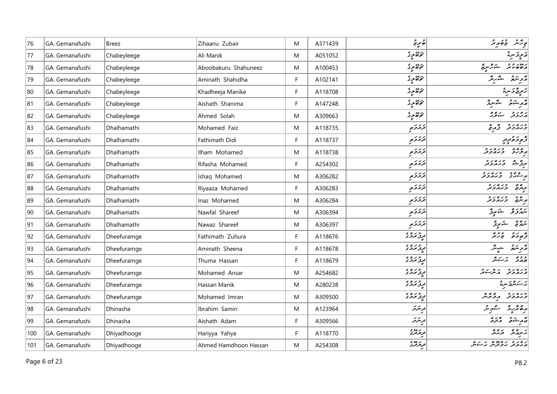| 76           | GA. Gemanafushi | <b>Breez</b> | Zihaanu Zubair        | M  | A371439 | و مربح<br>صمير                  | $3.102$ $3.20$                                   |
|--------------|-----------------|--------------|-----------------------|----|---------|---------------------------------|--------------------------------------------------|
| 77           | GA. Gemanafushi | Chabeyleege  | Ali Manik             | M  | A051052 | ری<br>کوه پ <sub>و</sub> ر      | ە ئېچە ئەسرىتى<br>ئ                              |
| 78           | GA. Gemanafushi | Chabeyleege  | Aboobakuru Shahuneez  | M  | A100453 | ري ء<br>کوھ پر د                | 77777<br>ىشتەر س <i>رچ</i>                       |
| 79           | GA. Gemanafushi | Chabeyleege  | Aminath Shahidha      | F. | A102141 | ري د<br>کوه مړ                  | أروسية<br>ستەرىتر                                |
| 80           | GA. Gemanafushi | Chabeyleege  | Khadheeja Manike      | F  | A118708 | ری پر ہ<br>کوٹھ پر د            | ر<br>زېږونځو سرمو                                |
| 81           | GA. Gemanafushi | Chabeyleege  | Aishath Shanima       | F  | A147248 | ری پر ہ<br>کوٹھ پر د            | ۇ مەسىسى<br>ھ<br>شقە سرگر                        |
| 82           | GA. Gemanafushi | Chabeyleege  | Ahmed Solah           | M  | A309663 | ري<br>کوه ي <sub>و</sub> ک      | ره ر و بر ده<br>پرېدونو سيونړ                    |
| 83           | GA. Gemanafushi | Dhalhamathi  | Mohamed Faiz          | M  | A118735 | ر ر<br>ترترنج ح                 | ترٌ مر ح<br>و ره ر و<br><i>د بر</i> د تر         |
| 84           | GA. Gemanafushi | Dhalhamathi  | Fathimath Didi        | F  | A118737 | ترتزقر بمج                      | رگه و د همومر                                    |
| 85           | GA. Gemanafushi | Dhalhamathi  | Ilham Mohamed         | M  | A118738 | ر ر ر<br>ترنز <del>و</del> م    | ەربەرە<br>و ره ر د<br>تر پر ژور                  |
| 86           | GA. Gemanafushi | Dhalhamathi  | Rifasha Mohamed       | F  | A254302 | ترتز تر مج                      | و رە ر د<br><i>د ب</i> رگرىز<br>بروٌشَہٗ         |
| 87           | GA. Gemanafushi | Dhalhamathi  | Ishaq Mohamed         | M  | A306282 | ترتز شرح                        | و رە ر د<br>تر پروتر<br>ارعية                    |
| 88           | GA. Gemanafushi | Dhalhamathi  | Riyaaza Mohamed       | F  | A306283 | ۔<br> تدنز څرم                  | و رە ر د<br><i>د بر</i> گرىر<br>لبروشيح          |
| 89           | GA. Gemanafushi | Dhalhamathi  | Inaz Mohamed          | M  | A306284 | ترتر تر محر                     | و ره ر و<br><i>د ب</i> رگرفر<br>بریشج            |
| $ 90\rangle$ | GA. Gemanafushi | Dhalhamathi  | Nawfal Shareef        | M  | A306394 | د ر ر<br>  تدنونو مو            | سمدونو<br>ڪ ميرو<br>س                            |
| 91           | GA. Gemanafushi | Dhalhamathi  | Nawaz Shareef         | M  | A306397 | ژ ژ ژ ه<br>  ترنز ژ ه           | سرچ ج<br>ڪ مور تو<br>سنڌ مور تو                  |
| 92           | GA. Gemanafushi | Dheefuramge  | Fathimath Zuhura      | F  | A118676 | در 3 بره ء                      | ح حر تئر<br>سی سر تئر<br>ا تو جر حر<br>الحرام حر |
| 93           | GA. Gemanafushi | Dheefuramge  | Aminath Sheena        | F  | A118678 | در 3 تر 3 ک                     | ړې سره<br>ے۔<br>تح                               |
| 94           | GA. Gemanafushi | Dheefuramge  | Thuma Hassan          | F. | A118679 | د و تره و                       | $rac{2}{2}$<br>برسەپىر                           |
| 95           | GA. Gemanafushi | Dheefuramge  | Mohamed Ansar         | M  | A254682 | ىر تۇ تىر 2 ي                   | ورەرو رەرىي                                      |
| 96           | GA. Gemanafushi | Dheefuramge  | Hassan Manik          | M  | A280238 | <br>  تړنو ترو تر               | ىر سەھەكەس <sup>ى</sup> ر                        |
| 97           | GA. Gemanafushi | Dheefuramge  | Mohamed Imran         | M  | A309500 | د د و د ه ،<br>پروترو د         | و ر ه ر د<br><i>و پر</i> پر تر<br>ەر ئەشر        |
| 98           | GA. Gemanafushi | Dhinasha     | Ibrahim Samin         | M  | A123964 | ورسكرتر                         | ەر ھەتمەر 2<br>ر<br>سەھ بىر                      |
| 99           | GA. Gemanafushi | Dhinasha     | Aishath Adam          | F  | A309566 | ىرىترىتر                        | انگر <sub>مرشو</sub> ر<br>ا<br>پور ہ<br>مرکز     |
| 100          | GA. Gemanafushi | Dhiyadhooge  | Hariyya Yahya         | F  | A118770 | ر دو ء<br>تر پر تر <sub>ک</sub> | برىدە بۇ<br>بر ٥ پر<br>پوپر پژ                   |
| 101          | GA. Gemanafushi | Dhiyadhooge  | Ahmed Hamdhoon Hassan | M  | A254308 | ر دو ء<br>تر پر تر پر           | ره ر و بره دوه بر کرد.<br>مهرومز برومزش بر کرد   |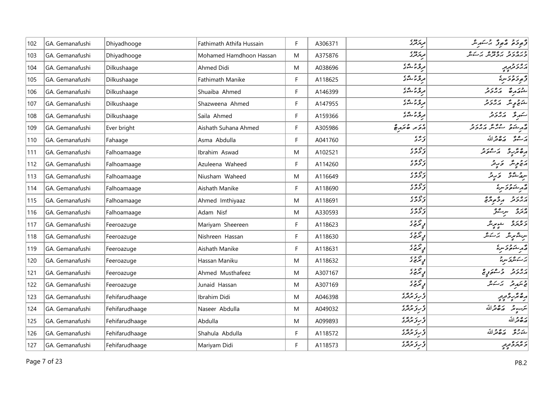| 102 | GA. Gemanafushi | Dhiyadhooge    | Fathimath Athifa Hussain | F         | A306371 | ر دو د<br>تر بر تر پ                                     | وتجوخا وتجوز برسكريمر                                                                             |
|-----|-----------------|----------------|--------------------------|-----------|---------|----------------------------------------------------------|---------------------------------------------------------------------------------------------------|
| 103 | GA. Gemanafushi | Dhiyadhooge    | Mohamed Hamdhoon Hassan  | ${\sf M}$ | A375876 | ر دو ء<br>تر پر تر د                                     | ورەر د درەددە بەر بەر<br>ۋىرەر دىر بەر دىر بەر بەر                                                |
| 104 | GA. Gemanafushi | Dilkushaage    | Ahmed Didi               | ${\sf M}$ | A038696 | ور و ج ريد ۽<br>مرڪزما شگا <sub>می</sub>                 | <br> پرچر تر تر تر تر پر                                                                          |
| 105 | GA. Gemanafushi | Dilkushaage    | Fathimath Manike         | F         | A118625 | دره و در پر پر<br>درنو را مشوی                           | ۇ بەر دىكى بىرىدىكى<br>ئ                                                                          |
| 106 | GA. Gemanafushi | Dilkushaage    | Shuaiba Ahmed            | F         | A146399 | د 2 و تر پر د<br>درنو ر شو ت                             | בג בי גם גב                                                                                       |
| 107 | GA. Gemanafushi | Dilkushaage    | Shazweena Ahmed          | F         | A147955 | د 2 و تر پر <sup>2</sup>                                 | شەر ئەرەر ئەر                                                                                     |
| 108 | GA. Gemanafushi | Dilkushaage    | Saila Ahmed              | F         | A159366 | ەر 2 ج.<br>تىرىۋىما شىمى                                 | أستهرقت المرمرومر                                                                                 |
| 109 | GA. Gemanafushi | Ever bright    | Aishath Suhana Ahmed     | F         | A305986 | B                                                        |                                                                                                   |
| 110 | GA. Gemanafushi | Fahaage        | Asma Abdulla             | F         | A041760 | ۇرمى                                                     | مَ عَدَّ مَصْعَّراللَّه                                                                           |
| 111 | GA. Gemanafushi | Falhoamaage    | Ibrahim Aswad            | M         | A102521 | ر 0 ء ،<br>تو نو <del>ر</del> ي                          | مەنگرى كەسىم                                                                                      |
| 112 | GA. Gemanafushi | Falhoamaage    | Azuleena Waheed          | F         | A114260 | ر <i>ہے ہے</i><br>توعر تر تر                             | أرجي ويثر أأقرب وتر                                                                               |
| 113 | GA. Gemanafushi | Falhoamaage    | Niusham Waheed           | ${\sf M}$ | A116649 | ر <i>ہے ہے</i><br>توعر تر تر                             | $\frac{1}{2}$ $\frac{1}{2}$ $\frac{1}{2}$ $\frac{1}{2}$ $\frac{1}{2}$ $\frac{1}{2}$ $\frac{1}{2}$ |
| 114 | GA. Gemanafushi | Falhoamaage    | Aishath Manike           | F         | A118690 | ر 0 ء ،<br>و د 5 د                                       | ۇ مەسىم <i>ھەجەس</i> رىئا                                                                         |
| 115 | GA. Gemanafushi | Falhoamaage    | Ahmed Imthiyaaz          | ${\sf M}$ | A118691 | ر <i>0 ہ</i> ے<br>قرنو <del>گ</del> ی                    | גפנב הפתיאים                                                                                      |
| 116 | GA. Gemanafushi | Falhoamaage    | Adam Nisf                | M         | A330593 | ر 0 ره ء<br>توغر <del>و</del> ي                          | أوره سرعو                                                                                         |
| 117 | GA. Gemanafushi | Feeroazuge     | Mariyam Sheereen         | F         | A118623 | و چر <sub>ی</sub> د ۽<br>پ <sub>و</sub> سري <sub>ک</sub> | دەرە خىيرىگە                                                                                      |
| 118 | GA. Gemanafushi | Feeroazuge     | Nishreen Hassan          | F         | A118630 | ه ۶ و ٤<br>و مربح د                                      | سرڪي پر پرڪس                                                                                      |
| 119 | GA. Gemanafushi | Feeroazuge     | Aishath Manike           | F         | A118631 | د ج و ۽<br>پي سريج <sub>ک</sub>                          | ۇ مەسىر <i>دىن بىرى</i> د                                                                         |
| 120 | GA. Gemanafushi | Feeroazuge     | Hassan Maniku            | M         | A118632 | ه و ه و و<br>مح <sup>مد م</sup> دی                       | بركسكر مريز                                                                                       |
| 121 | GA. Gemanafushi | Feeroazuge     | Ahmed Musthafeez         | M         | A307167 | و ه و ۽<br>پي تريج <sub>ک</sub>                          | رەرد دەر ە                                                                                        |
| 122 | GA. Gemanafushi | Feeroazuge     | Junaid Hassan            | ${\sf M}$ | A307169 | د ۶ د ،<br>په ترېخ د                                     | في سَمَدِ قرَ سَدَسْر                                                                             |
| 123 | GA. Gemanafushi | Fehifarudhaage | Ibrahim Didi             | ${\sf M}$ | A046398 | ۇرۇپرىژ                                                  | <br>  د ځه ټر په د تو په                                                                          |
| 124 | GA. Gemanafushi | Fehifarudhaage | Naseer Abdulla           | ${\sf M}$ | A049032 | ۇرۇپرىرى                                                 | سرجيعة   سرجة مقرالله                                                                             |
| 125 | GA. Gemanafushi | Fehifarudhaage | Abdulla                  | M         | A099893 | اء رئە چەمبىي<br> ئەسرىق ئىرتىرى                         | برە قرالله                                                                                        |
| 126 | GA. Gemanafushi | Fehifarudhaage | Shahula Abdulla          | F         | A118572 | ۇرۇپرىژى                                                 | ىشەرىخ<br>وكحصقرالله                                                                              |
| 127 | GA. Gemanafushi | Fehifarudhaage | Mariyam Didi             | F         | A118573 | ۇرۇپرىژى                                                 | ر - ه ر ه<br>  تر پرټر د بر بر                                                                    |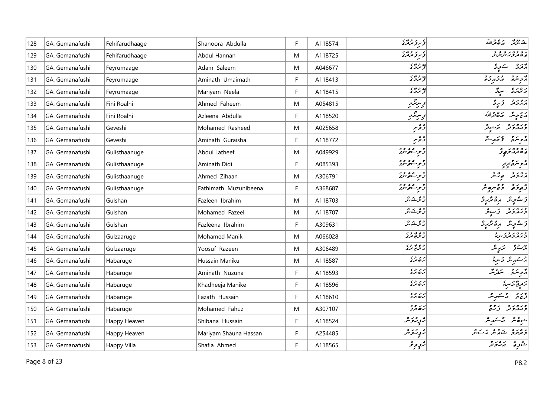| 128 | GA. Gemanafushi | Fehifarudhaage | Shanoora Abdulla      | F           | A118574 | د بر د برد د                           | خة مردون بردة والله                           |
|-----|-----------------|----------------|-----------------------|-------------|---------|----------------------------------------|-----------------------------------------------|
| 129 | GA. Gemanafushi | Fehifarudhaage | Abdul Hannan          | M           | A118725 | ې په تر چې په <sup>پ</sup>             | ره وه ره مرو<br>پره تربر سرس                  |
| 130 | GA. Gemanafushi | Feyrumaage     | Adam Saleem           | M           | A046677 | ہ بو ہ ہ<br> تو سرحری                  | پژ <sub>مر</sub> ه<br>درگر<br>سەرد            |
| 131 | GA. Gemanafushi | Feyrumaage     | Aminath Umaimath      | F           | A118413 | در و در د<br>تو بورس                   | בבהביק<br>أرمز                                |
| 132 | GA. Gemanafushi | Feyrumaage     | Mariyam Neela         | $\mathsf F$ | A118415 | ہ یو یو ی<br> تو بوری ی                | ر ه ر ه<br>تر <del>ب</del> ر بر ژ<br>سرپڅر    |
| 133 | GA. Gemanafushi | Fini Roalhi    | Ahmed Faheem          | M           | A054815 | وسرچرو                                 | برور و<br>تخررو                               |
| 134 | GA. Gemanafushi | Fini Roalhi    | Azleena Abdulla       | $\mathsf F$ | A118520 | وسرچمو                                 | ويجمعي تكريد وكالله                           |
| 135 | GA. Gemanafushi | Geveshi        | Mohamed Rasheed       | M           | A025658 | <sup>ء ۽</sup> مر                      | وره رو کرشونر<br>وبروونر کرشونر               |
| 136 | GA. Gemanafushi | Geveshi        | Aminath Guraisha      | F           | A118772 | ء ۽ مر                                 | محر يتمع المحتمد المقا                        |
| 137 | GA. Gemanafushi | Gulisthaanuge  | Abdul Latheef         | M           | A049929 | د په هم وي <del>.</del><br>  د په مسمو | ر ه د ه ر<br>ماه مرد څېږ                      |
| 138 | GA. Gemanafushi | Gulisthaanuge  | Aminath Didi          | F           | A085393 | د و شوڅوند                             | ړګو سره د مومو                                |
| 139 | GA. Gemanafushi | Gulisthaanuge  | Ahmed Zihaan          | M           | A306791 | و ويە ھەر دى <sub>م</sub>              | رەرد بېرتىر                                   |
| 140 | GA. Gemanafushi | Gulisthaanuge  | Fathimath Muzunibeena | F           | A368687 | د پر ۱۳۵۵ وي<br>  د پر ۱۳۵۰ مربع       | و د د د د پره ش                               |
| 141 | GA. Gemanafushi | Gulshan        | Fazleen Ibrahim       | M           | A118703 | <sup>و و</sup> کشتر مگر                | ز شوپه ره پر د                                |
| 142 | GA. Gemanafushi | Gulshan        | Mohamed Fazeel        | M           | A118707 | <sup>و و</sup> رځه پر                  | ورەرو كەنبى                                   |
| 143 | GA. Gemanafushi | Gulshan        | Fazleena Ibrahim      | F           | A309631 | 3 مۇشەھر                               | ز جو په موه پر د                              |
| 144 | GA. Gemanafushi | Gulzaaruge     | <b>Mohamed Manik</b>  | M           | A066028 | و ه پر و ،<br>د نومځ مور               | 2 נים ניבי יינול<br>2 <i>ג</i> וג פינופ יינול |
| 145 | GA. Gemanafushi | Gulzaaruge     | Yoosuf Razeen         | M           | A306489 | و ه پر و و<br>د نومځ مرد               | <mark>پر دو</mark> پرېپې شر                   |
| 146 | GA. Gemanafushi | Habaruge       | Hussain Maniku        | M           | A118587 | پر پر و ۽<br>  پرڪ موي                 | جر ڪمريڪر ڪريريو                              |
| 147 | GA. Gemanafushi | Habaruge       | Aminath Nuzuna        | F           | A118593 | ر ر و ،<br>رَ@ىرى                      | أرمرهم<br>سرفد مگر                            |
| 148 | GA. Gemanafushi | Habaruge       | Khadheeja Manike      | $\mathsf F$ | A118596 | ر ر و ،<br>رَ@ىرى                      | رَ م <sub>وقع</sub> وَ سريمَ                  |
| 149 | GA. Gemanafushi | Habaruge       | Fazath Hussain        | F           | A118610 | ر ر د ،<br>ره بر ،                     | ۇرو جەسىم بىر                                 |
| 150 | GA. Gemanafushi | Habaruge       | Mohamed Fahuz         | M           | A307107 | ر ر و ،<br>رَ@ىرى                      | כנסני נכב                                     |
| 151 | GA. Gemanafushi | Happy Heaven   | Shibana Hussain       | F           | A118524 | ائزو بخفرها                            | خىۋىگر برگىرىگر                               |
| 152 | GA. Gemanafushi | Happy Heaven   | Mariyam Shauna Hassan | F           | A254485 | ع پ <sub>و</sub> رى تىر<br>ب           | رەرە بەدە بەش                                 |
| 153 | GA. Gemanafushi | Happy Villa    | Shafia Ahmed          | F           | A118565 | رنج و و گ                              | شَرُوحُ دَرُورُ                               |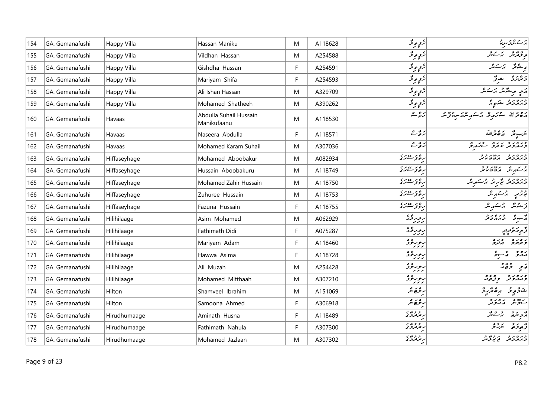| 154 | GA. Gemanafushi | Happy Villa  | Hassan Maniku                         | M           | A118628 | ر<br>روپورنژ                  | ىز سەھەر بىرىد <i>ە</i><br>كە                                 |
|-----|-----------------|--------------|---------------------------------------|-------------|---------|-------------------------------|---------------------------------------------------------------|
| 155 | GA. Gemanafushi | Happy Villa  | Vildhan Hassan                        | M           | A254588 | ر<br>روپورگ                   | ووثرمر برسكر                                                  |
| 156 | GA. Gemanafushi | Happy Villa  | Gishdha Hassan                        | F           | A254591 | ې<br>رېږونژ                   | توسفون الكاسكر                                                |
| 157 | GA. Gemanafushi | Happy Villa  | Mariyam Shifa                         | F           | A254593 | ر<br>روپورگ                   | وحروه حدتمر                                                   |
| 158 | GA. Gemanafushi | Happy Villa  | Ali Ishan Hassan                      | M           | A329709 | ر<br>روپورگ                   | أوسم وينقش برسك                                               |
| 159 | GA. Gemanafushi | Happy Villa  | Mohamed Shatheeh                      | M           | A390262 | ر<br>روپورگ                   | وره رو در و                                                   |
| 160 | GA. Gemanafushi | Havaas       | Abdulla Suhail Hussain<br>Manikufaanu | M           | A118530 | ئەڭرىشە                       | مەھ داللە ئے ئەر ئو جاسكى مور مور ئو ئو                       |
| 161 | GA. Gemanafushi | Havaas       | Naseera Abdulla                       | F           | A118571 | ر پۇر                         | سَرَ-جِسَدَ صَ6ْقَدَاللّه                                     |
| 162 | GA. Gemanafushi | Havaas       | Mohamed Karam Suhail                  | M           | A307036 | ر پۇ شە                       | כנסגב גנס בנגס<br>כמוכנת מיניב היינוגיב                       |
| 163 | GA. Gemanafushi | Hiffaseyhage | Mohamed Aboobakur                     | M           | A082934 | رە ئەسىرى<br>بەھ تۇسىمىسى     | כנסנכ נמנכב<br><i>כג</i> תכ <mark>נ</mark> משש <mark>ע</mark> |
| 164 | GA. Gemanafushi | Hiffaseyhage | Hussain Aboobakuru                    | M           | A118749 | رە دېم دى                     |                                                               |
| 165 | GA. Gemanafushi | Hiffaseyhage | Mohamed Zahir Hussain                 | M           | A118750 | رە دېمەر ،                    | ورەرو ئەرتر رقسكرىش                                           |
| 166 | GA. Gemanafushi | Hiffaseyhage | Zuhuree Hussain                       | M           | A118753 | ارە بەيدىي<br>بەر ئىسىرى      | تحرجي برجستمريش                                               |
| 167 | GA. Gemanafushi | Hiffaseyhage | Fazuna Hussain                        | E           | A118755 | بەر يېزى                      | ۇ جىگە جاسكىرىك                                               |
| 168 | GA. Gemanafushi | Hilihilaage  | Asim Mohamed                          | M           | A062929 | ار وروء<br>رور وء             | ه دره در در                                                   |
| 169 | GA. Gemanafushi | Hilihilaage  | Fathimath Didi                        | $\mathsf F$ | A075287 | ر د رگ <sup>ي</sup><br>ر د رگ | ر<br>رقم بر د موسيد                                           |
| 170 | GA. Gemanafushi | Hilihilaage  | Mariyam Adam                          | $\mathsf F$ | A118460 | ر ور ژُءَ<br>ر                | נסנס שנס                                                      |
| 171 | GA. Gemanafushi | Hilihilaage  | Hawwa Asima                           | $\mathsf F$ | A118728 | ر و ر ۇ ؟<br>بر بر            | رەپە شىدۇ                                                     |
| 172 | GA. Gemanafushi | Hilihilaage  | Ali Muzah                             | M           | A254428 | ر و ر و <sup>ء</sup><br>ر ر ر | $22 - 22$                                                     |
| 173 | GA. Gemanafushi | Hilihilaage  | Mohamed Mifthaah                      | M           | A307210 | ر و ر و <sup>ء</sup><br>ر ر ر | وره رو ده وه.                                                 |
| 174 | GA. Gemanafushi | Hilton       | Shamveel Ibrahim                      | M           | A151069 | ر ژیځ مثر                     | خوي مقتررة                                                    |
| 175 | GA. Gemanafushi | Hilton       | Samoona Ahmed                         | F           | A306918 | ر څو ځو شر                    | سترور بره د و                                                 |
| 176 | GA. Gemanafushi | Hirudhumaage | Aminath Husna                         | F           | A118489 | ر و و د د<br>بر ترتر و د      | أأدوبترة الركاسر                                              |
| 177 | GA. Gemanafushi | Hirudhumaage | Fathimath Nahula                      | F           | A307300 | ر و و و ء<br>ر برترو د        | وَجِعَةٍ مَرْرَبُوَ                                           |
| 178 | GA. Gemanafushi | Hirudhumaage | Mohamed Jazlaan                       | M           | A307302 | ر و و د د<br>ب برترو د        | ورەر در دور<br>دىرمەدىر ئىمگەر                                |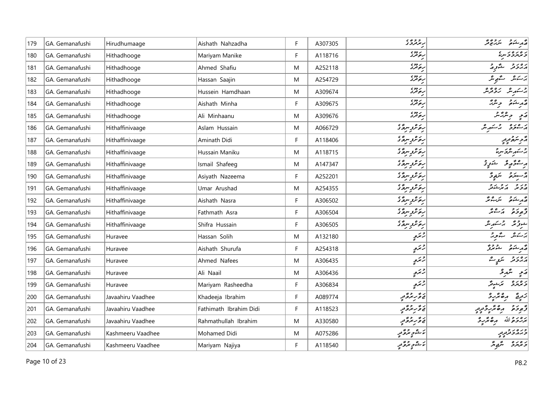| 179 | GA. Gemanafushi | Hirudhumaage      | Aishath Nahzadha       | F  | A307305 |                                  | وأوسفتموه سررج فر                                              |
|-----|-----------------|-------------------|------------------------|----|---------|----------------------------------|----------------------------------------------------------------|
| 180 | GA. Gemanafushi | Hithadhooge       | Mariyam Manike         | F  | A118716 | ر دو ء<br>پ@تری                  | د وړود سره                                                     |
| 181 | GA. Gemanafushi | Hithadhooge       | Ahmed Shafiu           | M  | A252118 | ر دو ء<br>پره تر د               | <i>د ور چه ستوه</i>                                            |
| 182 | GA. Gemanafushi | Hithadhooge       | Hassan Saajin          | M  | A254729 | ر دد :<br>ره ترز                 | برسك ستمعي مثر                                                 |
| 183 | GA. Gemanafushi | Hithadhooge       | Hussein Hamdhaan       | M  | A309674 | ر دو ء<br>ره تر د                | ج ڪهر شرق ڪافرنگر                                              |
| 184 | GA. Gemanafushi | Hithadhooge       | Aishath Minha          | F  | A309675 | ر دو ء<br>پره تر د               | أقهر شدة ويترج                                                 |
| 185 | GA. Gemanafushi | Hithadhooge       | Ali Minhaanu           | M  | A309676 | ر دد :<br>ره تر د                | أأوالمح والمرمية                                               |
| 186 | GA. Gemanafushi | Hithaffinivaage   | Aslam Hussain          | M  | A066729 | ىرە ئىروپىرى ئى                  | رەرە جەسىر                                                     |
| 187 | GA. Gemanafushi | Hithaffinivaage   | Aminath Didi           | F  | A118406 | رىر ئىر بىر قەتمى                | <br>  پژو سکونونو<br>  پ                                       |
| 188 | GA. Gemanafushi | Hithaffinivaage   | Hussain Maniku         | M  | A118715 | رۇشۇر بىرقە ئ                    | جر سنهر مركز سررة<br>م                                         |
| 189 | GA. Gemanafushi | Hithaffinivaage   | Ismail Shafeeg         | M  | A147347 | رىم ترو بىرىمى<br>رىم ترو بىرىمى | ر شۇرچى سەرچ                                                   |
| 190 | GA. Gemanafushi | Hithaffinivaage   | Asiyath Nazeema        | F. | A252201 | ىرە ئىروپىرى ئى                  | و سور در در در در در دارد.<br>امر سرد در سرد در در در دارد کرد |
| 191 | GA. Gemanafushi | Hithaffinivaage   | Umar Arushad           | M  | A254355 | رەڭروپىرەتچ                      | ورو دورو                                                       |
| 192 | GA. Gemanafushi | Hithaffinivaage   | Aishath Nasra          | F  | A306502 | رە <sup>2</sup> رىرىدۇ ئ         | ۇرمىشكە سىربىر                                                 |
| 193 | GA. Gemanafushi | Hithaffinivaage   | Fathmath Asra          | F  | A306504 | رە تروپىر <i>ە</i> ئ             | أوجوجو أراقع                                                   |
| 194 | GA. Gemanafushi | Hithaffinivaage   | Shifra Hussain         | F  | A306505 | رە ئەر سرەڭ                      | أخوقرنتى الرحشريش                                              |
| 195 | GA. Gemanafushi | Huravee           | Hassan Solih           | M  | A132180 | رحمتر محي                        | ىزىكىش بىگىرچ                                                  |
| 196 | GA. Gemanafushi | Huravee           | Aishath Shurufa        | F  | A254318 | رحمتر مو                         | و ديگر د دور<br>مارڪو شمر                                      |
| 197 | GA. Gemanafushi | Huravee           | Ahmed Nafees           | M  | A306435 | ترتزء                            | رورو سَعِيتْ                                                   |
| 198 | GA. Gemanafushi | Huravee           | Ali Naail              | M  | A306436 | اشتمعي                           | ړنې شمړنځ                                                      |
| 199 | GA. Gemanafushi | Huravee           | Mariyam Rasheedha      | F  | A306834 | رحمزمو                           | ر ہ ر ہ<br>تر بربر تر<br>ىر بەيەتىر<br>ئ                       |
| 200 | GA. Gemanafushi | Javaahiru Vaadhee | Khadeeja Ibrahim       | F  | A089774 | ئە ئۇ يە ئەرگە                   | زَ بِرِيعٌ مِنْ مُرْرِدْ                                       |
| 201 | GA. Gemanafushi | Javaahiru Vaadhee | Fathimath Ibrahim Didi | F  | A118523 | ئەقەر بىرقەمدٍ                   | ومجمع معدد ومرمر                                               |
| 202 | GA. Gemanafushi | Javaahiru Vaadhee | Rahmathullah Ibrahim   | M  | A330580 | ئەقرىر قرقرىيە                   | برەبرە الله مەھەربە                                            |
| 203 | GA. Gemanafushi | Kashmeeru Vaadhee | Mohamed Didi           | M  | A075286 | ئەشەھ برۇ تېر                    | ------<br>  ژبر د ژبربر<br>                                    |
| 204 | GA. Gemanafushi | Kashmeeru Vaadhee | Mariyam Najiya         | F  | A118540 | يَدْ شَعْرٍ مِرْءً مَدِ          | رەرە شجار                                                      |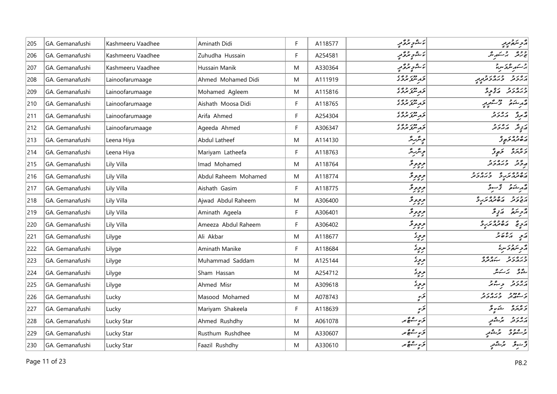| 205 | GA. Gemanafushi        | Kashmeeru Vaadhee | Aminath Didi         | F           | A118577 | ئەشقىر ترەڭ تېر                                                                                         | ۇ جە ئىر تەر<br>سىر ئىس ئەسىر                                       |
|-----|------------------------|-------------------|----------------------|-------------|---------|---------------------------------------------------------------------------------------------------------|---------------------------------------------------------------------|
| 206 | <b>GA. Gemanafushi</b> | Kashmeeru Vaadhee | Zuhudha Hussain      | E           | A254581 | ر کے دیے تع <sub>م</sub> ر                                                                              | دور جنگهر شد.<br>محمد شده برگر                                      |
| 207 | GA. Gemanafushi        | Kashmeeru Vaadhee | Hussain Manik        | M           | A330364 | ر<br>سن الله عن الله من الله من الله من الله الله من الله من الله من الله من الله من الله من الله من ال | جر سکه مرکز شرید<br>م                                               |
| 208 | GA. Gemanafushi        | Lainoofarumaage   | Ahmed Mohamed Didi   | M           | A111919 | د په دور وه ،<br>نوم سرو برو د                                                                          |                                                                     |
| 209 | GA. Gemanafushi        | Lainoofarumaage   | Mohamed Agleem       | M           | A115816 | تەرەپىر دەپ                                                                                             | כנים בי הפיתים                                                      |
| 210 | GA. Gemanafushi        | Lainoofarumaage   | Aishath Moosa Didi   | F           | A118765 | ى پەر دەپ<br>ئىمەسلامرى                                                                                 |                                                                     |
| 211 | GA. Gemanafushi        | Lainoofarumaage   | Arifa Ahmed          | F           | A254304 | ى پەر دەپرى<br>ئىمەسىرىسى ئ                                                                             | ە بوق مەددى                                                         |
| 212 | GA. Gemanafushi        | Lainoofarumaage   | Ageeda Ahmed         | $\mathsf F$ | A306347 | تەر «دىر دە»،<br>ئەر سرگە ئىرىرى                                                                        | أرتي قرائد ورو                                                      |
| 213 | GA. Gemanafushi        | Leena Hiya        | Abdul Latheef        | M           | A114130 | وبتزريز                                                                                                 | ره وه ر<br>مەھەرمەنچە بى                                            |
| 214 | GA. Gemanafushi        | Leena Hiya        | Mariyam Latheefa     | F           | A118763 | وپتزریز                                                                                                 | دەرە كەبۇ                                                           |
| 215 | GA. Gemanafushi        | Lily Villa        | Imad Mohamed         | M           | A118764 | ىرىپەرگە<br>رەپر                                                                                        | ورقتر وره دو                                                        |
| 216 | GA. Gemanafushi        | Lily Villa        | Abdul Raheem Mohamed | M           | A118774 | ا و و ه گر<br><u>رو ر</u>                                                                               | و ر ه ر و<br>تر پر ژ تر<br>ره وه ر<br>په څرم بربر د                 |
| 217 | GA. Gemanafushi        | Lily Villa        | Aishath Gasim        | F           | A118775 | ووەر                                                                                                    | وحمر يشكرها المحاسبة                                                |
| 218 | GA. Gemanafushi        | Lily Villa        | Ajwad Abdul Raheem   | M           | A306400 | ىزىۋە ئ <sup>ۇ</sup>                                                                                    | ג כגב גם כם גם<br>גבו בשנג הגול                                     |
| 219 | GA. Gemanafushi        | Lily Villa        | Aminath Ageela       | $\mathsf F$ | A306401 | ووەر                                                                                                    | أأرجع أأتبو                                                         |
| 220 | GA. Gemanafushi        | Lily Villa        | Ameeza Abdul Raheem  | F.          | A306402 | ووەر                                                                                                    |                                                                     |
| 221 | GA. Gemanafushi        | Lilyge            | Ali Akbar            | M           | A118677 | مومونی<br>مربو                                                                                          | $\begin{pmatrix} 2 & 2 & 3 \\ 2 & 2 & 3 \\ 3 & 4 & 5 \end{pmatrix}$ |
| 222 | GA. Gemanafushi        | Lilyge            | Aminath Manike       | F           | A118684 | مومونی<br>مربو                                                                                          | ە ئەسىم ئەسرىئە                                                     |
| 223 | GA. Gemanafushi        | Lilyge            | Muhammad Saddam      | M           | A125144 | مومورگا<br>مربو                                                                                         | ر ۵ ۵ و ۵<br><i>۱۰۰۰ تر</i> ح<br>و ر ه ر د<br>تر پر ژ تر            |
| 224 | GA. Gemanafushi        | Lilyge            | Sham Hassan          | M           | A254712 | مومونی<br>مربو                                                                                          | ڪ <i>ڙو پرڪير</i>                                                   |
| 225 | GA. Gemanafushi        | Lilyge            | Ahmed Misr           | M           | A309618 | موموتى<br>مرتو                                                                                          | رەرو جىگى                                                           |
| 226 | GA. Gemanafushi        | Lucky             | Masood Mohamed       | M           | A078743 | ځوسه                                                                                                    | و ر ه ر و<br>تر پر ژ تر<br>ر دو دو د<br>تر سوړنور                   |
| 227 | GA. Gemanafushi        | Lucky             | Mariyam Shakeela     | F           | A118639 | لخبر                                                                                                    | رەرە خىرگە                                                          |
| 228 | GA. Gemanafushi        | Lucky Star        | Ahmed Rushdhy        | M           | A061078 | <br>  د پېړ سفیقۍ                                                                                       | پره پر چه چیمبر<br>  پر پر چر چیمبر                                 |
| 229 | GA. Gemanafushi        | Lucky Star        | Rusthum Rushdhee     | M           | A330607 | ئەربەم ئەرەپىر                                                                                          | پر مربره<br>مرسوبر                                                  |
| 230 | GA. Gemanafushi        | Lucky Star        | Faazil Rushdhy       | M           | A330610 | <sub>تحریب</sub> صفح بر                                                                                 | أؤسوفر المرشوس                                                      |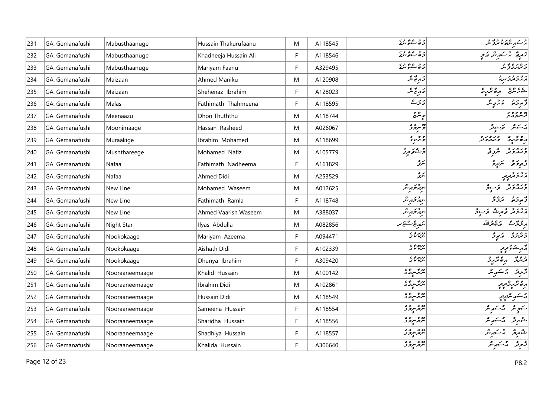| 231 | GA. Gemanafushi | Mabusthaanuge  | Hussain Thakurufaanu  | M         | A118545 | ر و ه ه و و و<br>تر ته شوه مرد       | ج سے مرضوع مرتب مر                      |
|-----|-----------------|----------------|-----------------------|-----------|---------|--------------------------------------|-----------------------------------------|
| 232 | GA. Gemanafushi | Mabusthaanuge  | Khadheeja Hussain Ali | F         | A118546 | ر و ه ه و و ،<br>و ت <i>ه س</i> وړس  | ر<br>تاريخ بر سور شركة برايج            |
| 233 | GA. Gemanafushi | Mabusthaanuge  | Mariyam Faanu         | F         | A329495 | ر و ه ه و و ،<br>و ته سوه سرد        | ر ە رەپر <del>ە</del>                   |
| 234 | GA. Gemanafushi | Maizaan        | Ahmed Maniku          | M         | A120908 | ئەرىئ <sup>ى</sup> ر                 | ر ە ر د ر د<br>ג ژ ژ تر ژ سربا          |
| 235 | GA. Gemanafushi | Maizaan        | Shehenaz Ibrahim      | F         | A128023 | ئەرىئ <sup>ى</sup> ر                 | ے وہ مقررہ                              |
| 236 | GA. Gemanafushi | Malas          | Fathimath Thahmeena   | F         | A118595 | ىر ئەر<br>م                          | قەدە مۇرەپتر                            |
| 237 | GA. Gemanafushi | Meenaazu       | Dhon Thuththu         | ${\sf M}$ | A118744 | حريثرنج                              | پر ه و ه و<br>ترسرچ پر چ                |
| 238 | GA. Gemanafushi | Moonimaage     | Hassan Rasheed        | ${\sf M}$ | A026067 | دو<br>ترسرچری                        | ىركىكى ئىرىدىم                          |
| 239 | GA. Gemanafushi | Muraakige      | Ibrahim Mohamed       | M         | A118699 | د پر په<br>حربر بر په                | و رە ر د<br><i>د بە</i> پەر<br>ەھ ئۈر ۋ |
| 240 | GA. Gemanafushi | Mushthareege   | Mohamed Nafiz         | M         | A105779 | و شور <sub>مور</sub> ی<br>حرشو موری  | وره رو گروه                             |
| 241 | GA. Gemanafushi | Nafaa          | Fathimath Nadheema    | F         | A161829 | سرتر                                 | و څمو څه د<br>سرتورگر                   |
| 242 | GA. Gemanafushi | Nafaa          | Ahmed Didi            | M         | A253529 | سَرَدٌ                               | ر ەر دېرىر<br>مەركىرىرىر                |
| 243 | GA. Gemanafushi | New Line       | Mohamed Waseem        | M         | A012625 | سرړې شر                              | ورەرو رىيو                              |
| 244 | GA. Gemanafushi | New Line       | Fathimath Ramla       | F         | A118748 | سرە ئۇرىتر                           | ژودۇ ئەدۇ                               |
| 245 | GA. Gemanafushi | New Line       | Ahmed Vaarish Waseem  | ${\sf M}$ | A388037 | سرچمرینگ                             | رەرو ۋىرىش كەسپى                        |
| 246 | GA. Gemanafushi | Night Star     | Ilyas Abdulla         | ${\sf M}$ | A082856 | سَمَدِ ڪَ سُڪ تَعر                   | مكرمر مكافرالله                         |
| 247 | GA. Gemanafushi | Nookokaage     | Mariyam Azeema        | F         | A094471 | وویو پر پر<br>سربر بر <sub>ک</sub>   | ئەنگەر ئ<br>ر پر پچ پ                   |
| 248 | GA. Gemanafushi | Nookokaage     | Aishath Didi          | F         | A102339 | وویر بر بر<br>سربر بر بر             | ا په کار شوه تو تو په په ا              |
| 249 | GA. Gemanafushi | Nookokaage     | Dhunya Ibrahim        | F         | A309420 | وویو پر ہ<br>سربر بر <sub>ک</sub>    |                                         |
| 250 | GA. Gemanafushi | Nooraaneemaage | Khalid Hussain        | M         | A100142 | چرچمبردمجر<br>سرچر <sub>و</sub>      | برسەمەرىش<br>رٌ وِ تَرُ                 |
| 251 | GA. Gemanafushi | Nooraaneemaage | Ibrahim Didi          | M         | A102861 | دو پر پره<br>سرچر <sub>س</sub> رچري  | ر ه ټر روبرد<br>د                       |
| 252 | GA. Gemanafushi | Nooraaneemaage | Hussain Didi          | ${\sf M}$ | A118549 | دو پر پره<br>سرپر سرچري              | ر<br>بر سکور میگرورد<br>بر سکور سی      |
| 253 | GA. Gemanafushi | Nooraaneemaage | Sameena Hussain       | F         | A118554 | دو پر دی<br>سرپر سرچري               | سكويتر المسكريتر                        |
| 254 | GA. Gemanafushi | Nooraaneemaage | Sharidha Hussain      | F         | A118556 | در پر پر دی<br>سرچر <sub>سر</sub> دی | شەرقە بەسىر ش                           |
| 255 | GA. Gemanafushi | Nooraaneemaage | Shadhiya Hussain      | F         | A118557 | دو پر پروگر<br>سرچر                  | شەرىر برگىرىر                           |
| 256 | GA. Gemanafushi | Nooraaneemaage | Khalida Hussain       | F         | A306640 | دو په ده و                           | گرونگر الاسکهرینگر                      |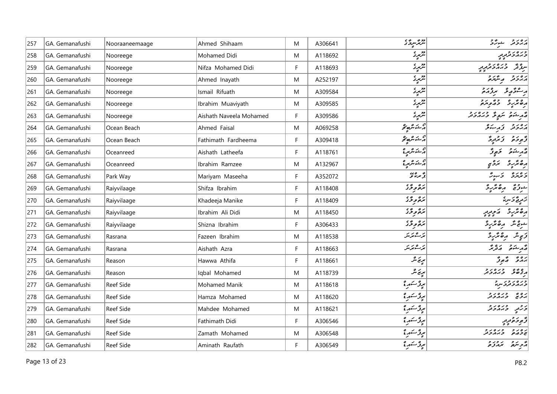| 257 | GA. Gemanafushi | Nooraaneemaage   | Ahmed Shihaam           | M           | A306641 | دوره پره<br>سرپر سرچري          | $\frac{55}{2}$ $\frac{252}{2}$                                 |
|-----|-----------------|------------------|-------------------------|-------------|---------|---------------------------------|----------------------------------------------------------------|
| 258 | GA. Gemanafushi | Nooreege         | Mohamed Didi            | M           | A118692 | دد<br>مترسری                    | وره رو<br>د پر پر ترترتر                                       |
| 259 | GA. Gemanafushi | Nooreege         | Nifza Mohamed Didi      | F           | A118693 | دد<br>مترسمونه                  | ره و در در در در در در است.<br>مرکز <i>د د د د د در در پ</i> ر |
| 260 | GA. Gemanafushi | Nooreege         | Ahmed Inayath           | M           | A252197 | دد<br>مترسمو بر                 | ره رو په عرو                                                   |
| 261 | GA. Gemanafushi | Nooreege         | Ismail Rifuath          | M           | A309584 | دد<br>مترسری                    | مر شو په در در                                                 |
| 262 | GA. Gemanafushi | Nooreege         | Ibrahim Muaviyath       | M           | A309585 | دد<br>مترسمي د                  |                                                                |
| 263 | GA. Gemanafushi | Nooreege         | Aishath Naveela Mohamed | $\mathsf F$ | A309586 | دد<br>مترسمي د                  | مەرشۇم سوڭ 3000 د                                              |
| 264 | GA. Gemanafushi | Ocean Beach      | Ahmed Faisal            | M           | A069258 | أكمشكوهم                        | ورود ورباد                                                     |
| 265 | GA. Gemanafushi | Ocean Beach      | Fathimath Fardheema     | F.          | A309418 | أركشة مثرجة كالحجر              | وتجوختم وترميرة                                                |
| 266 | GA. Gemanafushi | Oceanreed        | Aishath Latheefa        | F           | A118761 | م<br>مشاه مرسم محمد             | ۇ مەشەقى<br>خبجوتر                                             |
| 267 | GA. Gemanafushi | Oceanreed        | Ibrahim Ramzee          | M           | A132967 | م شەھرىيە ق                     | ە ھەتمەر 2<br>س<br>برومج                                       |
| 268 | GA. Gemanafushi | Park Way         | Mariyam Maseeha         | F           | A352072 | یو رہ<br>بو بورا ح              | ر ه ر ه<br>د بر در<br>ى سەرىج<br>ئ                             |
| 269 | GA. Gemanafushi | Raiyvilaage      | Shifza Ibrahim          | $\mathsf F$ | A118408 | ىرە ھەتىي<br>ئىرقۇمۇتى          | برە ئۆر ۋ                                                      |
| 270 | GA. Gemanafushi | Raiyvilaage      | Khadeeja Manike         | $\mathsf F$ | A118409 | ره وي<br>مر <sub>حو</sub> مونځو | زَ مَرِيحٌ تَرْ سِرْءً                                         |
| 271 | GA. Gemanafushi | Raiyvilaage      | Ibrahim Ali Didi        | M           | A118450 | ره<br>مر <sub>حو</sub> مونور    | رەپرى كېرىرىر                                                  |
| 272 | GA. Gemanafushi | Raiyvilaage      | Shizna Ibrahim          | F           | A306433 | ره وي<br>مر <sub>حو</sub> مونځو |                                                                |
| 273 | GA. Gemanafushi | Rasrana          | Fazeen Ibrahim          | M           | A118538 | ىر ھەيرىئە                      | ەھ ئۈر ۋ<br>  ئۇ يې شر                                         |
| 274 | GA. Gemanafushi | Rasrana          | Aishath Azra            | F           | A118663 | ىر ئەيرىئە                      | و مر شو د<br>مر<br>ر ە بە<br>ھ.نرىر                            |
| 275 | GA. Gemanafushi | Reason           | Hawwa Athifa            | F           | A118661 | ایږیږ                           | رەپە ئەبور                                                     |
| 276 | GA. Gemanafushi | Reason           | Iqbal Mohamed           | M           | A118739 | ىيەىچ مىگە                      | و ره ر و<br><i>د بر</i> د تر<br>د ڏھڻو                         |
| 277 | GA. Gemanafushi | <b>Reef Side</b> | Mohamed Manik           | M           | A118618 | ىيە ئۇ سىمبر ؟                  | כנסנכנקית<br>הממכת כית                                         |
| 278 | GA. Gemanafushi | <b>Reef Side</b> | Hamza Mohamed           | M           | A118620 | پروېسره                         | وره رو<br>تربر پر تر<br>ر ه و.<br>پرونج                        |
| 279 | GA. Gemanafushi | Reef Side        | Mahdee Mohamed          | M           | A118621 | ېږ ژ سکه د ه<br>په              | ار و دره در ور د                                               |
| 280 | GA. Gemanafushi | <b>Reef Side</b> | Fathimath Didi          | F           | A306546 | ېږ ژ سکه د ؟<br>په              | و<br>ترجوحر توسير<br>المحركي                                   |
| 281 | GA. Gemanafushi | <b>Reef Side</b> | Zamath Mohamed          | M           | A306548 | ېږ ژ سکه د ؟<br>په              | و ر ه ر د<br>تر پر ژنر<br>ر ه ر د<br>مح تر در ح                |
| 282 | GA. Gemanafushi | Reef Side        | Aminath Raufath         | F           | A306549 | ىيە بۇ سەر ؟<br>ئە              | و در در در د                                                   |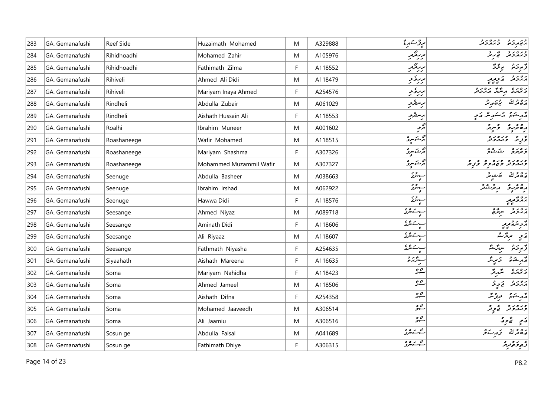| 283 | GA. Gemanafushi | <b>Reef Side</b> | Huzaimath Mohamed       | M  | A329888 | ىيە ئۇ سىھرى                  | 21017 2112                                               |
|-----|-----------------|------------------|-------------------------|----|---------|-------------------------------|----------------------------------------------------------|
| 284 | GA. Gemanafushi | Rihidhoadhi      | Mohamed Zahir           | M  | A105976 | بور فرگر<br>مرکز              | ورور و و د                                               |
| 285 | GA. Gemanafushi | Rihidhoadhi      | Fathimath Zilma         | F. | A118552 | برردگرمر                      | تزوذة بإذذ                                               |
| 286 | GA. Gemanafushi | Rihiveli         | Ahmed Ali Didi          | M  | A118479 | بررءً و                       | رورو كروبربر<br>كەبرى كەن                                |
| 287 | GA. Gemanafushi | Rihiveli         | Mariyam Inaya Ahmed     | F. | A254576 | بررءً و                       | מסגם המוצא הסגב<br>  במחבר הייתול המביע                  |
| 288 | GA. Gemanafushi | Rindheli         | Abdulla Zubair          | M  | A061029 | ابرسونگر<br>س                 | مَدْهُ مَرَاللّه بِمَنْ مِرْ مِرْ                        |
| 289 | GA. Gemanafushi | Rindheli         | Aishath Hussain Ali     | F  | A118553 | ا <sub>مرسوم</sub> ر<br>په    | وأمر يشمط بركستمر بكر وكبير                              |
| 290 | GA. Gemanafushi | Roalhi           | Ibrahim Muneer          | M  | A001602 | ص<br>محرمر                    | رە ئەرە - 3 مەيد<br>19 ئەرە - 5 مەيد<br>ئەرە - 5 مەمەد - |
| 291 | GA. Gemanafushi | Roashaneege      | Wafir Mohamed           | M  | A118515 | ە<br>ئىرىشەسرى                |                                                          |
| 292 | GA. Gemanafushi | Roashaneege      | Mariyam Shashma         | F. | A307326 | ە<br>ئىرىشەس <sub>ى</sub> رى  | رەرە ئەشەر                                               |
| 293 | GA. Gemanafushi | Roashaneege      | Mohammed Muzammil Wafir | M  | A307327 | مرڪسري<br>مرڪس <sub>و</sub> ر | כממכת כשמכל פציב                                         |
| 294 | GA. Gemanafushi | Seenuge          | Abdulla Basheer         | M  | A038663 | سويىي                         | رە داللە ھەدىر<br>مەھىراللە ھەدىر                        |
| 295 | GA. Gemanafushi | Seenuge          | Ibrahim Irshad          | M  | A062922 | سەپىرى                        | תפת כ התיימה                                             |
| 296 | GA. Gemanafushi | Seenuge          | Hawwa Didi              | F  | A118576 | سومبر<br>پوسر                 | ر ە ئە<br>بەھەتە بويىر                                   |
| 297 | GA. Gemanafushi | Seesange         | Ahmed Niyaz             | M  | A089718 | اب مەنتەپىر<br>پە             | رەرو سرگە                                                |
| 298 | GA. Gemanafushi | Seesange         | Aminath Didi            | F  | A118606 | سەسەھرى                       | ۇ يەسكە قىرىر<br>مەسكە ئەسم                              |
| 299 | GA. Gemanafushi | Seesange         | Ali Riyaaz              | M  | A118607 | اب مەسىر<br>ئ                 | ړې مرمرگ                                                 |
| 300 | GA. Gemanafushi | Seesange         | Fathmath Niyasha        | F. | A254635 | اب مەسىر<br>پە                | رًّمُودَةً سِرَّتْ                                       |
| 301 | GA. Gemanafushi | Siyaahath        | Aishath Mareena         | F  | A116635 | سودتر د                       | و مر د شوه<br>د کر<br>ۇ ئېرىتر                           |
| 302 | GA. Gemanafushi | Soma             | Mariyam Nahidha         | F. | A118423 | جعج                           | ر ه ر ه<br>د بربر د<br>سَّرَر تَرَّ                      |
| 303 | GA. Gemanafushi | Soma             | Ahmed Jameel            | M  | A118506 | حيوته                         | رورو كالمحالج                                            |
| 304 | GA. Gemanafushi | Soma             | Aishath Difna           | F  | A254358 | حيو                           | وكرمشكم ورقائر                                           |
| 305 | GA. Gemanafushi | Soma             | Mohamed Jaaveedh        | M  | A306514 | حيوته                         | <i>ورەرو</i> ق <sub>ۇ</sub> مۇ                           |
| 306 | GA. Gemanafushi | Soma             | Ali Jaamiu              | M  | A306516 | مشوشح                         | $\begin{array}{cc} 2 & 2 & 2 \\ 2 & 2 & 2 \end{array}$   |
| 307 | GA. Gemanafushi | Sosun ge         | Abdulla Faisal          | M  | A041689 | <u>مى ئەيرو ،</u>             | 205 مرالله<br>وَمرِ يَدَى                                |
| 308 | GA. Gemanafushi | Sosun ge         | Fathimath Dhiye         | F  | A306315 | <u>م</u> مەسىرى               | وٌجوحَ جُوبرگر                                           |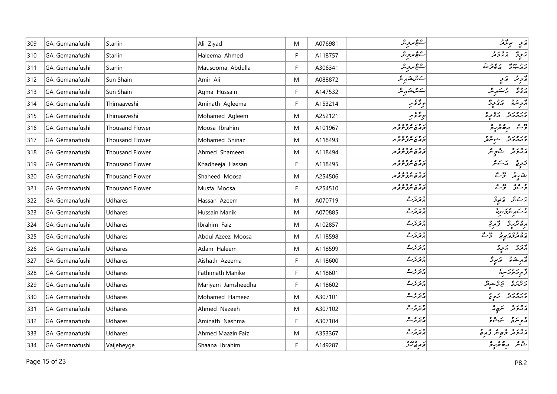| 309 | GA. Gemanafushi | Starlin                | Ali Ziyad          | M         | A076981 | <u>صوغ برمر</u> شر                  | ړې مخ پر                                                |
|-----|-----------------|------------------------|--------------------|-----------|---------|-------------------------------------|---------------------------------------------------------|
| 310 | GA. Gemanafushi | Starlin                | Haleema Ahmed      | F         | A118757 | <u>شوءَ</u> <sub>مرمو</sub> ير      | بزيرة                                                   |
| 311 | GA. Gemanafushi | Starlin                | Mausooma Abdulla   | F         | A306341 | <u>شوءَ برمر</u> شر                 | ر و دوه<br>وړ ښون<br>مەھىراللە                          |
| 312 | GA. Gemanafushi | Sun Shain              | Amir Ali           | M         | A088872 | ر<br>سەنگە يىقىمە بىر               | وترىر<br>ەنىر                                           |
| 313 | GA. Gemanafushi | Sun Shain              | Agma Hussain       | F         | A147532 | ر<br>سەنگە شەمرىكى                  | پر بڑ بڑ<br>م <i>رک</i> بڑ<br>جرسئهرینگ                 |
| 314 | GA. Gemanafushi | Thimaaveshi            | Aminath Agleema    | F         | A153214 | موڅ ځو سر                           | ړ څر سره<br>برتج وگ                                     |
| 315 | GA. Gemanafushi | Thimaaveshi            | Mohamed Agleem     | M         | A252121 | ودڅوېر                              | ورەرو رەپوۋ                                             |
| 316 | GA. Gemanafushi | Thousand Flower        | Moosa Ibrahim      | ${\sf M}$ | A101967 | ر و ر ه و و و.<br>ح در م سرتی و گوش | وحر محته<br>مەھترىرى                                    |
| 317 | GA. Gemanafushi | <b>Thousand Flower</b> | Mohamed Shinaz     | M         | A118493 | ر در ه د وي.<br>بود بح سرتي شور محر | و ر ه ر د<br>د بر پر تر<br>ىشەمگەتمر                    |
| 318 | GA. Gemanafushi | <b>Thousand Flower</b> | Ahmed Shameen      | M         | A118494 | ر ور ه و و و.<br>بودر سرتی شر       | بر 2 د حر<br>م <i>. بر</i> 5 مر<br>ڪُ <sub>تو</sub> مگر |
| 319 | GA. Gemanafushi | Thousand Flower        | Khadheeja Hassan   | F         | A118495 | ر در ه د وي.<br>بود بح مرتو څوگور   | نرَ ورِجَّ                                              |
| 320 | GA. Gemanafushi | <b>Thousand Flower</b> | Shaheed Moosa      | M         | A254506 | ر د ر ه د و و.<br>د بر د بر تروگر   | دو مشر<br>ے کر فر<br>س                                  |
| 321 | GA. Gemanafushi | Thousand Flower        | Musfa Moosa        | F         | A254510 | ر در ه د وی.<br>به دې سرو څوگه      | د ه ژ<br>درمیز                                          |
| 322 | GA. Gemanafushi | Udhares                | Hassan Azeem       | ${\sf M}$ | A070719 | د ري ه<br>مر <sub>م مر</sub> ک      | برڪش كمامور                                             |
| 323 | GA. Gemanafushi | <b>Udhares</b>         | Hussain Manik      | M         | A070885 | ەز ئەربىگە                          | ج <sup>ر</sup> سە <sub>م</sub> رىقرىرىدە                |
| 324 | GA. Gemanafushi | Udhares                | Ibrahim Faiz       | ${\sf M}$ | A102857 | ە ئەرىئە ھ                          |                                                         |
| 325 | GA. Gemanafushi | Udhares                | Abdul Azeez Moosa  | M         | A118598 | د ر ، م<br>مرمرسه                   | גם כפג <sub>ם</sub> ב<br>دين مشر                        |
| 326 | GA. Gemanafushi | Udhares                | Adam Haleem        | M         | A118599 | د ر بر م<br>مرمر سه                 | ء ر ہ<br>دگرو                                           |
| 327 | GA. Gemanafushi | Udhares                | Aishath Azeema     | F         | A118600 | د ري ه<br>مر <sub>م مر</sub> ک      | و مر شه د<br>مرم شه ه                                   |
| 328 | GA. Gemanafushi | Udhares                | Fathimath Manike   | F         | A118601 | ە ئەر ئەر ھ                         | ۇ بەر جۇ ئىبرىكى<br>ئ                                   |
| 329 | GA. Gemanafushi | Udhares                | Mariyam Jamsheedha | F         | A118602 | د ري ه<br>مر <sub>م مر</sub> ک      | ر ه ر ه<br><del>د</del> بربرگر<br>ر و شیوتگر<br>م       |
| 330 | GA. Gemanafushi | Udhares                | Mohamed Hameez     | ${\sf M}$ | A307101 | ەزىرىمە                             | و رە ر د<br>ت <i>ر بە</i> تەتر<br>ر و ځ                 |
| 331 | GA. Gemanafushi | Udhares                | Ahmed Nazeeh       | ${\sf M}$ | A307102 | د ر ، م<br>مرمر سه                  | ر ە ر د<br>م.روتر<br>سَمِيرُ                            |
| 332 | GA. Gemanafushi | Udhares                | Aminath Nashma     | F         | A307104 | د ر ، م<br>مرمرسه                   | دٌ د سَرِهِ مَسَرَ شَرْدٌ                               |
| 333 | GA. Gemanafushi | Udhares                | Ahmed Maazin Faiz  | M         | A353367 | د ر ، م<br>مرمر سه                  | وترود ومجاهد ومالح                                      |
| 334 | GA. Gemanafushi | Vaijeheyge             | Shaana Ibrahim     | F         | A149287 | ر<br>تو در ج ر د                    | شَرْسَرَ رەمزىر                                         |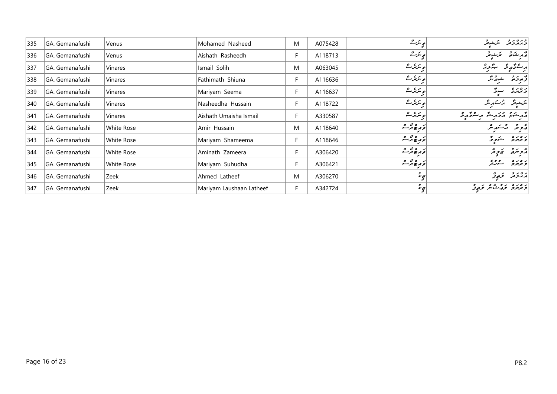| 335 | GA. Gemanafushi        | Venus          | Mohamed Nasheed          | M  | A075428 | ا <sub>ح</sub> سَرَتْ | و رە ر د<br><i>د ب</i> رگرىز<br>سربشوتر  |
|-----|------------------------|----------------|--------------------------|----|---------|-----------------------|------------------------------------------|
| 336 | GA. Gemanafushi        | Venus          | Aishath Rasheedh         |    | A118713 | ءِ سَرَتْہ            | أقدم مشكرة والمحرسفيوقر                  |
| 337 | GA. Gemanafushi        | Vinares        | Ismail Solih             | M  | A063045 | ە ئىر پر م            | بر سىئىچە چى<br>ستحرش                    |
| 338 | GA. Gemanafushi        | Vinares        | Fathimath Shiuna         | F  | A116636 | ە ئىر پر م            | و مر د<br>گ<br>شەرگە ئىگر                |
| 339 | IGA. Gemanafushi       | <b>Vinares</b> | Mariyam Seema            | F. | A116637 | ە ئىر پر م            | ر ه ر ه<br><del>ر</del> بربر ژ<br>سىز    |
| 340 | IGA. Gemanafushi       | Vinares        | Nasheedha Hussain        | F  | A118722 | ە ئىر پر م            | سَرَجِيرَةٌ بِرَكْسَرِيْرٌ               |
| 341 | <b>GA.</b> Gemanafushi | Vinares        | Aishath Umaisha Ismail   | F  | A330587 | ە ئىر پر م            | مەر شىم بەر بەر ئەر ئەر ئەر              |
| 342 | <b>GA.</b> Gemanafushi | White Rose     | Amir Hussain             | M  | A118640 | ئەرەم ئىر شە          | ە ئەرىر بەر شەر بىر                      |
| 343 | <b>GA.</b> Gemanafushi | White Rose     | Mariyam Shameema         | F. | A118646 | ئەرەم بەر             | ويوبره<br>ستكور                          |
| 344 | <b>GA.</b> Gemanafushi | White Rose     | Aminath Zameera          | F. | A306420 | ئەرەم بۇ ھ            | أثرم سكافته والمحاجز بمراجح              |
| 345 | <b>GA.</b> Gemanafushi | White Rose     | Mariyam Suhudha          | F  | A306421 | ئەرەم بۇ ھ            | ر ه بر ه<br><del>ر</del> بربرگر<br>سەرقە |
| 346 | GA. Gemanafushi        | Zeek           | Ahmed Latheef            | M  | A306270 | ,<br>ىئى ئىق          | دەرو كەچى                                |
| 347 | GA. Gemanafushi        | Zeek           | Mariyam Laushaan Latheef | F. | A342724 | ء<br>پي               | د ٥ د ٥ د ٥ د ٥ د و                      |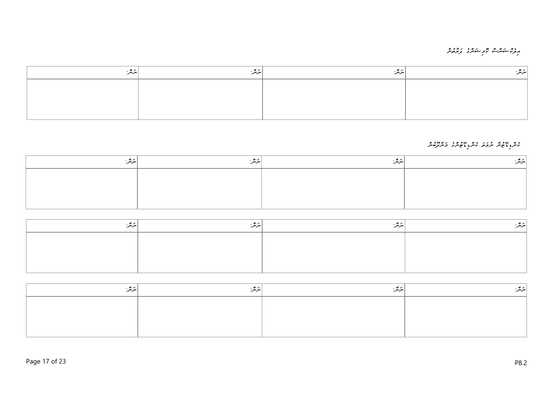## *w7qAn8m? sCw7mRo>u; wEw7mRw;sBo<*

| ' مرمر | 'يئرىثر: |
|--------|----------|
|        |          |
|        |          |
|        |          |

## *w7q9r@w7m> sCw7qHtFoFw7s; mAm=q7 w7qHtFoFw7s;*

| ىر تە | $\mathcal{O} \times$<br>$\sim$ | $\sim$<br>. . | لترنثر |
|-------|--------------------------------|---------------|--------|
|       |                                |               |        |
|       |                                |               |        |
|       |                                |               |        |

| انترنثر: | $^{\circ}$ | يبرهر | $^{\circ}$<br>سرسر |
|----------|------------|-------|--------------------|
|          |            |       |                    |
|          |            |       |                    |
|          |            |       |                    |

| ىرتىر: | 。<br>سر سر | .,<br>مرسر |
|--------|------------|------------|
|        |            |            |
|        |            |            |
|        |            |            |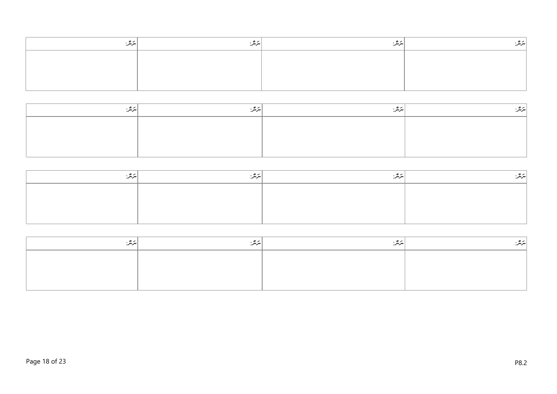| يره. | ο. | ا ير ه |  |
|------|----|--------|--|
|      |    |        |  |
|      |    |        |  |
|      |    |        |  |

| <sup>.</sup> سرسر. |  |
|--------------------|--|
|                    |  |
|                    |  |
|                    |  |

| ىئرىتر. | $\sim$ | ا بر هه. | لىرىش |
|---------|--------|----------|-------|
|         |        |          |       |
|         |        |          |       |
|         |        |          |       |

| 。<br>مرس. | $\overline{\phantom{a}}$<br>مر مىر | يتريثر |
|-----------|------------------------------------|--------|
|           |                                    |        |
|           |                                    |        |
|           |                                    |        |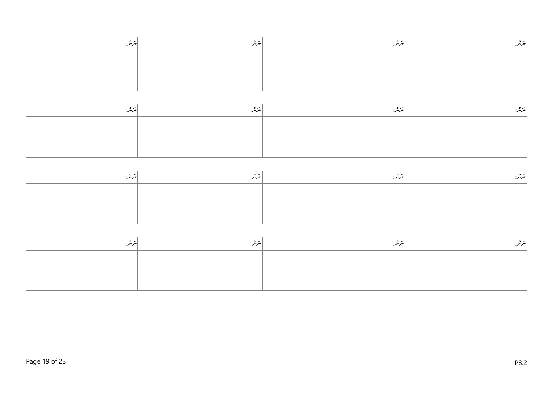| ير هو . | $\overline{\phantom{a}}$ | يرمر | اير هنه. |
|---------|--------------------------|------|----------|
|         |                          |      |          |
|         |                          |      |          |
|         |                          |      |          |

| ىبرىر. | $\sim$<br>ا سرسر . | يئرمثر | o . |
|--------|--------------------|--------|-----|
|        |                    |        |     |
|        |                    |        |     |
|        |                    |        |     |

| ىئرىتىز: | . .<br>سمرسمد. | 。 |
|----------|----------------|---|
|          |                |   |
|          |                |   |
|          |                |   |

|  | . ه |
|--|-----|
|  |     |
|  |     |
|  |     |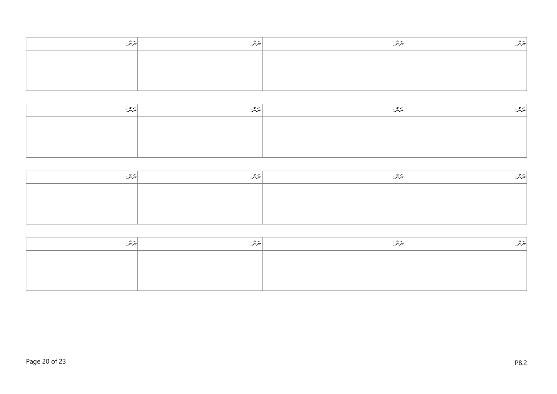| ير هو . | $\overline{\phantom{a}}$ | يرمر | اير هنه. |
|---------|--------------------------|------|----------|
|         |                          |      |          |
|         |                          |      |          |
|         |                          |      |          |

| ىبرىر. | $\sim$<br>ا سرسر . | يئرمثر | o . |
|--------|--------------------|--------|-----|
|        |                    |        |     |
|        |                    |        |     |
|        |                    |        |     |

| 'تترنثر: | 。<br>,,,, |  |
|----------|-----------|--|
|          |           |  |
|          |           |  |
|          |           |  |

|  | . ه |
|--|-----|
|  |     |
|  |     |
|  |     |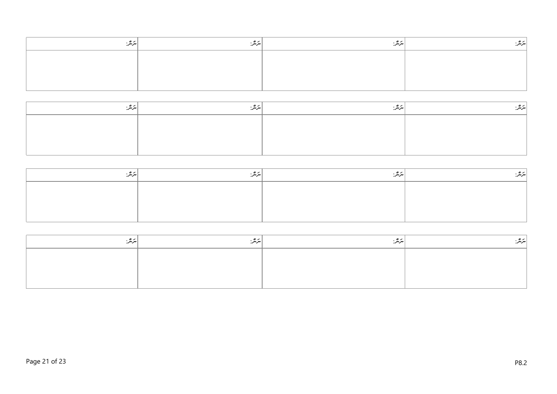| $\cdot$ | 。 | $\frac{\circ}{\cdot}$ | $\sim$<br>سرسر |
|---------|---|-----------------------|----------------|
|         |   |                       |                |
|         |   |                       |                |
|         |   |                       |                |

| ايرعر: | ر ه<br>. . |  |
|--------|------------|--|
|        |            |  |
|        |            |  |
|        |            |  |

| بر ه | . ه | $\overline{\phantom{0}}$<br>سرسر |  |
|------|-----|----------------------------------|--|
|      |     |                                  |  |
|      |     |                                  |  |
|      |     |                                  |  |

| 。<br>. س | ىرىىر |  |
|----------|-------|--|
|          |       |  |
|          |       |  |
|          |       |  |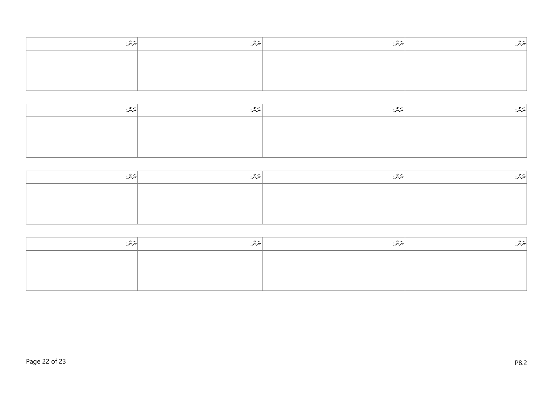| ير هو . | $\overline{\phantom{a}}$ | يرمر | اير هنه. |
|---------|--------------------------|------|----------|
|         |                          |      |          |
|         |                          |      |          |
|         |                          |      |          |

| ىبرىر. | $\sim$<br>ا سرسر . | يئرمثر | o . |
|--------|--------------------|--------|-----|
|        |                    |        |     |
|        |                    |        |     |
|        |                    |        |     |

| 。 | . .<br>سمرسمد. | ىئرىتىز: |
|---|----------------|----------|
|   |                |          |
|   |                |          |
|   |                |          |

|  | . ه |
|--|-----|
|  |     |
|  |     |
|  |     |